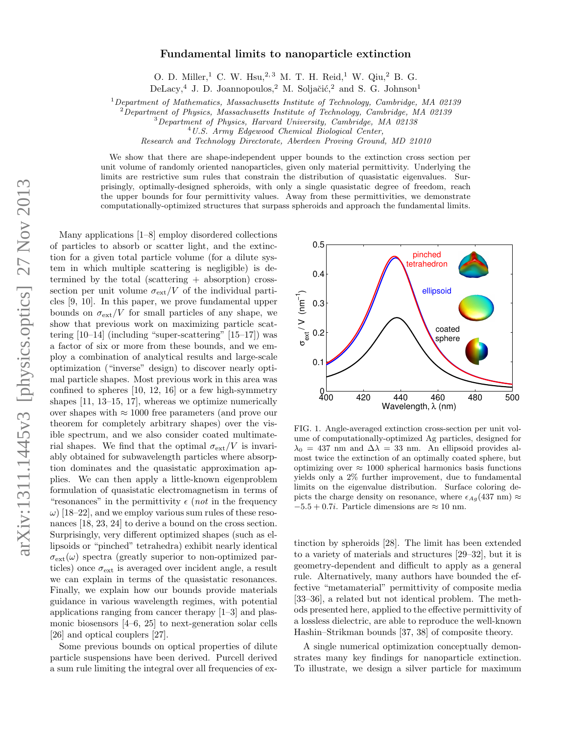## Fundamental limits to nanoparticle extinction

O. D. Miller,<sup>1</sup> C. W. Hsu,<sup>2,3</sup> M. T. H. Reid,<sup>1</sup> W. Qiu,<sup>2</sup> B. G.

DeLacy,<sup>4</sup> J. D. Joannopoulos,<sup>2</sup> M. Soljačić,<sup>2</sup> and S. G. Johnson<sup>1</sup>

<sup>1</sup>Department of Mathematics, Massachusetts Institute of Technology, Cambridge, MA 02139

<sup>2</sup>Department of Physics, Massachusetts Institute of Technology, Cambridge, MA 02139

<sup>3</sup>Department of Physics, Harvard University, Cambridge, MA 02138

<sup>4</sup>U.S. Army Edgewood Chemical Biological Center,

Research and Technology Directorate, Aberdeen Proving Ground, MD 21010

We show that there are shape-independent upper bounds to the extinction cross section per unit volume of randomly oriented nanoparticles, given only material permittivity. Underlying the limits are restrictive sum rules that constrain the distribution of quasistatic eigenvalues. Surprisingly, optimally-designed spheroids, with only a single quasistatic degree of freedom, reach the upper bounds for four permittivity values. Away from these permittivities, we demonstrate computationally-optimized structures that surpass spheroids and approach the fundamental limits.

Many applications [1–8] employ disordered collections of particles to absorb or scatter light, and the extinction for a given total particle volume (for a dilute system in which multiple scattering is negligible) is determined by the total (scattering + absorption) crosssection per unit volume  $\sigma_{\text{ext}}/V$  of the individual particles [9, 10]. In this paper, we prove fundamental upper bounds on  $\sigma_{\rm ext}/V$  for small particles of any shape, we show that previous work on maximizing particle scattering  $[10-14]$  (including "super-scattering"  $[15-17]$ ) was a factor of six or more from these bounds, and we employ a combination of analytical results and large-scale optimization ("inverse" design) to discover nearly optimal particle shapes. Most previous work in this area was confined to spheres [10, 12, 16] or a few high-symmetry shapes [11, 13–15, 17], whereas we optimize numerically over shapes with  $\approx 1000$  free parameters (and prove our theorem for completely arbitrary shapes) over the visible spectrum, and we also consider coated multimaterial shapes. We find that the optimal  $\sigma_{\rm ext}/V$  is invariably obtained for subwavelength particles where absorption dominates and the quasistatic approximation applies. We can then apply a little-known eigenproblem formulation of quasistatic electromagnetism in terms of "resonances" in the permittivity  $\epsilon$  (not in the frequency  $\omega$ ) [18–22], and we employ various sum rules of these resonances [18, 23, 24] to derive a bound on the cross section. Surprisingly, very different optimized shapes (such as ellipsoids or "pinched" tetrahedra) exhibit nearly identical  $\sigma_{\rm ext}(\omega)$  spectra (greatly superior to non-optimized particles) once  $\sigma_{\text{ext}}$  is averaged over incident angle, a result we can explain in terms of the quasistatic resonances. Finally, we explain how our bounds provide materials guidance in various wavelength regimes, with potential applications ranging from cancer therapy [1–3] and plasmonic biosensors [4–6, 25] to next-generation solar cells [26] and optical couplers [27].

Some previous bounds on optical properties of dilute particle suspensions have been derived. Purcell derived a sum rule limiting the integral over all frequencies of ex-



FIG. 1. Angle-averaged extinction cross-section per unit volume of computationally-optimized Ag particles, designed for  $\lambda_0 = 437$  nm and  $\Delta \lambda = 33$  nm. An ellipsoid provides almost twice the extinction of an optimally coated sphere, but optimizing over  $\approx 1000$  spherical harmonics basis functions yields only a 2% further improvement, due to fundamental limits on the eigenvalue distribution. Surface coloring depicts the charge density on resonance, where  $\epsilon_{Ag}(437 \text{ nm}) \approx$  $-5.5 + 0.7i$ . Particle dimensions are  $\approx 10$  nm.

tinction by spheroids [28]. The limit has been extended to a variety of materials and structures [29–32], but it is geometry-dependent and difficult to apply as a general rule. Alternatively, many authors have bounded the effective "metamaterial" permittivity of composite media [33–36], a related but not identical problem. The methods presented here, applied to the effective permittivity of a lossless dielectric, are able to reproduce the well-known Hashin–Strikman bounds [37, 38] of composite theory.

A single numerical optimization conceptually demonstrates many key findings for nanoparticle extinction. To illustrate, we design a silver particle for maximum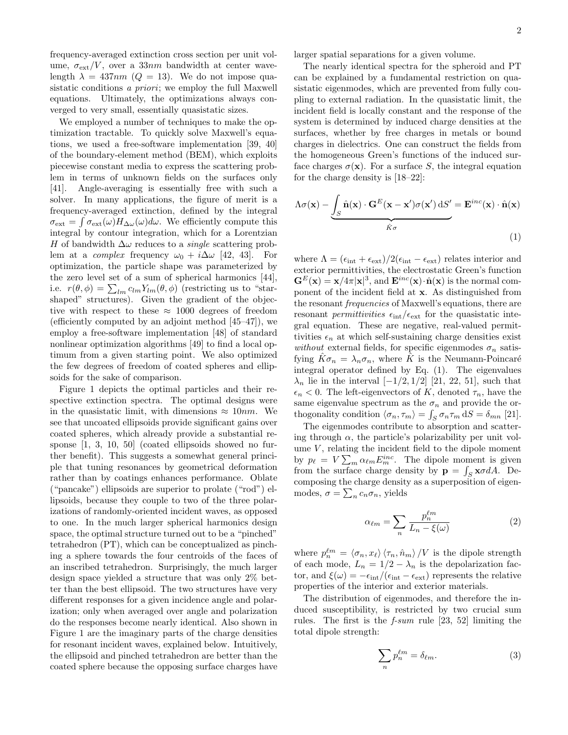frequency-averaged extinction cross section per unit volume,  $\sigma_{\text{ext}}/V$ , over a 33nm bandwidth at center wavelength  $\lambda = 437nm$  ( $Q = 13$ ). We do not impose quasistatic conditions a priori; we employ the full Maxwell equations. Ultimately, the optimizations always converged to very small, essentially quasistatic sizes.

We employed a number of techniques to make the optimization tractable. To quickly solve Maxwell's equations, we used a free-software implementation [39, 40] of the boundary-element method (BEM), which exploits piecewise constant media to express the scattering problem in terms of unknown fields on the surfaces only [41]. Angle-averaging is essentially free with such a solver. In many applications, the figure of merit is a frequency-averaged extinction, defined by the integral  $\sigma_{\text{ext}} = \int \sigma_{\text{ext}}(\omega) H_{\Delta\omega}(\omega) d\omega$ . We efficiently compute this integral by contour integration, which for a Lorentzian H of bandwidth  $\Delta\omega$  reduces to a *single* scattering problem at a *complex* frequency  $\omega_0 + i\Delta\omega$  [42, 43]. For optimization, the particle shape was parameterized by the zero level set of a sum of spherical harmonics [44], i.e.  $r(\theta, \phi) = \sum_{lm} c_{lm} Y_{lm}(\theta, \phi)$  (restricting us to "starshaped" structures). Given the gradient of the objective with respect to these  $\approx 1000$  degrees of freedom (efficiently computed by an adjoint method [45–47]), we employ a free-software implementation [48] of standard nonlinear optimization algorithms [49] to find a local optimum from a given starting point. We also optimized the few degrees of freedom of coated spheres and ellipsoids for the sake of comparison.

Figure 1 depicts the optimal particles and their respective extinction spectra. The optimal designs were in the quasistatic limit, with dimensions  $\approx 10nm$ . We see that uncoated ellipsoids provide significant gains over coated spheres, which already provide a substantial response [1, 3, 10, 50] (coated ellipsoids showed no further benefit). This suggests a somewhat general principle that tuning resonances by geometrical deformation rather than by coatings enhances performance. Oblate ("pancake") ellipsoids are superior to prolate ("rod") ellipsoids, because they couple to two of the three polarizations of randomly-oriented incident waves, as opposed to one. In the much larger spherical harmonics design space, the optimal structure turned out to be a "pinched" tetrahedron (PT), which can be conceptualized as pinching a sphere towards the four centroids of the faces of an inscribed tetrahedron. Surprisingly, the much larger design space yielded a structure that was only 2% better than the best ellipsoid. The two structures have very different responses for a given incidence angle and polarization; only when averaged over angle and polarization do the responses become nearly identical. Also shown in Figure 1 are the imaginary parts of the charge densities for resonant incident waves, explained below. Intuitively, the ellipsoid and pinched tetrahedron are better than the coated sphere because the opposing surface charges have

larger spatial separations for a given volume.

The nearly identical spectra for the spheroid and PT can be explained by a fundamental restriction on quasistatic eigenmodes, which are prevented from fully coupling to external radiation. In the quasistatic limit, the incident field is locally constant and the response of the system is determined by induced charge densities at the surfaces, whether by free charges in metals or bound charges in dielectrics. One can construct the fields from the homogeneous Green's functions of the induced surface charges  $\sigma(\mathbf{x})$ . For a surface S, the integral equation for the charge density is [18–22]:

$$
\Lambda \sigma(\mathbf{x}) - \underbrace{\int_{S} \hat{\mathbf{n}}(\mathbf{x}) \cdot \mathbf{G}^{E}(\mathbf{x} - \mathbf{x}') \sigma(\mathbf{x}') dS'}_{\hat{\mathbf{k}} \sigma} = \mathbf{E}^{inc}(\mathbf{x}) \cdot \hat{\mathbf{n}}(\mathbf{x})
$$
\n(1)

where  $\Lambda = (\epsilon_{\rm int} + \epsilon_{\rm ext})/2(\epsilon_{\rm int} - \epsilon_{\rm ext})$  relates interior and exterior permittivities, the electrostatic Green's function  $\mathbf{G}^E(\mathbf{x}) = \mathbf{x}/4\pi |\mathbf{x}|^3$ , and  $\mathbf{E}^{inc}(\mathbf{x}) \cdot \hat{\mathbf{n}}(\mathbf{x})$  is the normal component of the incident field at x. As distinguished from the resonant frequencies of Maxwell's equations, there are resonant *permittivities*  $\epsilon_{\rm int}/\epsilon_{\rm ext}$  for the quasistatic integral equation. These are negative, real-valued permittivities  $\epsilon_n$  at which self-sustaining charge densities exist without external fields, for specific eigenmodes  $\sigma_n$  satisfying  $\hat{K}\sigma_n = \lambda_n \sigma_n$ , where  $\hat{K}$  is the Neumann-Poincaré integral operator defined by Eq. (1). The eigenvalues  $\lambda_n$  lie in the interval  $[-1/2, 1/2]$  [21, 22, 51], such that  $\epsilon_n < 0$ . The left-eigenvectors of K, denoted  $\tau_n$ , have the same eigenvalue spectrum as the  $\sigma_n$  and provide the orthogonality condition  $\langle \sigma_n, \tau_m \rangle = \int_S \sigma_n \tau_m dS = \delta_{mn}$  [21].

The eigenmodes contribute to absorption and scattering through  $\alpha$ , the particle's polarizability per unit volume  $V$ , relating the incident field to the dipole moment by  $p_\ell = V \sum_m \alpha_{\ell m} E_m^{inc}$ . The dipole moment is given from the surface charge density by  $\mathbf{p} = \int_{S} \mathbf{x} \sigma dA$ . Decomposing the charge density as a superposition of eigenmodes,  $\sigma = \sum_n c_n \sigma_n$ , yields

$$
\alpha_{\ell m} = \sum_{n} \frac{p_n^{\ell m}}{L_n - \xi(\omega)}\tag{2}
$$

where  $p_n^{\ell m} = \langle \sigma_n, x_\ell \rangle \langle \tau_n, \hat{n}_m \rangle /V$  is the dipole strength of each mode,  $L_n = 1/2 - \lambda_n$  is the depolarization factor, and  $\xi(\omega) = -\epsilon_{int}/(\epsilon_{int} - \epsilon_{ext})$  represents the relative properties of the interior and exterior materials.

The distribution of eigenmodes, and therefore the induced susceptibility, is restricted by two crucial sum rules. The first is the f-sum rule [23, 52] limiting the total dipole strength:

$$
\sum_{n} p_n^{\ell m} = \delta_{\ell m}.\tag{3}
$$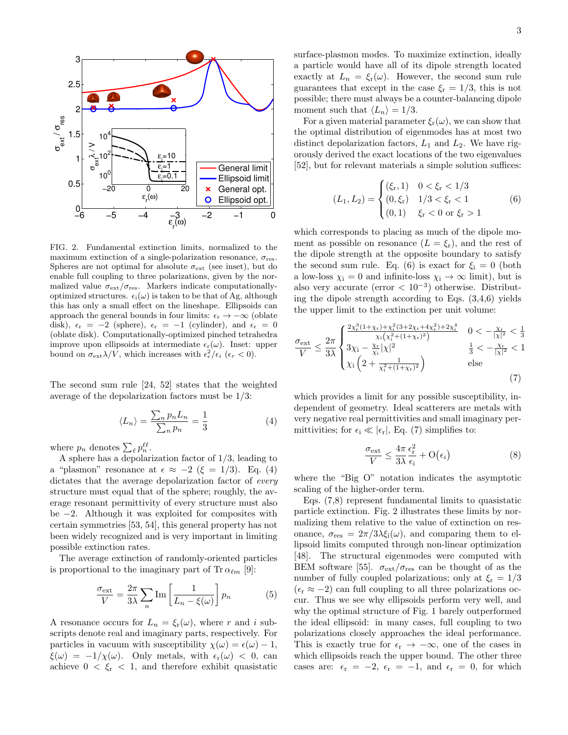

FIG. 2. Fundamental extinction limits, normalized to the maximum extinction of a single-polarization resonance,  $\sigma_{res}$ . Spheres are not optimal for absolute  $\sigma_{\text{ext}}$  (see inset), but do enable full coupling to three polarizations, given by the normalized value  $\sigma_{\text{ext}}/\sigma_{\text{res}}$ . Markers indicate computationallyoptimized structures.  $\epsilon_i(\omega)$  is taken to be that of Ag, although this has only a small effect on the lineshape. Ellipsoids can approach the general bounds in four limits:  $\epsilon_r \to -\infty$  (oblate disk),  $\epsilon_r = -2$  (sphere),  $\epsilon_r = -1$  (cylinder), and  $\epsilon_r = 0$ (oblate disk). Computationally-optimized pinched tetrahedra improve upon ellipsoids at intermediate  $\epsilon_r(\omega)$ . Inset: upper bound on  $\sigma_{\text{ext}}\lambda/V$ , which increases with  $\epsilon_r^2/\epsilon_i$  ( $\epsilon_r < 0$ ).

The second sum rule [24, 52] states that the weighted average of the depolarization factors must be 1/3:

$$
\langle L_n \rangle = \frac{\sum_n p_n L_n}{\sum_n p_n} = \frac{1}{3} \tag{4}
$$

where  $p_n$  denotes  $\sum_{\ell} p_n^{\ell\ell}$ .

A sphere has a depolarization factor of 1/3, leading to a "plasmon" resonance at  $\epsilon \approx -2$  ( $\xi = 1/3$ ). Eq. (4) dictates that the average depolarization factor of *every* structure must equal that of the sphere; roughly, the average resonant permittivity of every structure must also be −2. Although it was exploited for composites with certain symmetries [53, 54], this general property has not been widely recognized and is very important in limiting possible extinction rates.

The average extinction of randomly-oriented particles is proportional to the imaginary part of Tr  $\alpha_{\ell m}$  [9]:

$$
\frac{\sigma_{\text{ext}}}{V} = \frac{2\pi}{3\lambda} \sum_{n} \text{Im}\left[\frac{1}{L_n - \xi(\omega)}\right] p_n \tag{5}
$$

A resonance occurs for  $L_n = \xi_r(\omega)$ , where r and i subscripts denote real and imaginary parts, respectively. For particles in vacuum with susceptibility  $\chi(\omega) = \epsilon(\omega) - 1$ ,  $\xi(\omega) = -1/\chi(\omega)$ . Only metals, with  $\epsilon_r(\omega) < 0$ , can achieve  $0 < \xi_r < 1$ , and therefore exhibit quasistatic surface-plasmon modes. To maximize extinction, ideally a particle would have all of its dipole strength located exactly at  $L_n = \xi_r(\omega)$ . However, the second sum rule guarantees that except in the case  $\xi_{\rm r} = 1/3$ , this is not possible; there must always be a counter-balancing dipole moment such that  $\langle L_n \rangle = 1/3$ .

For a given material parameter  $\xi_{r}(\omega)$ , we can show that the optimal distribution of eigenmodes has at most two distinct depolarization factors,  $L_1$  and  $L_2$ . We have rigorously derived the exact locations of the two eigenvalues [52], but for relevant materials a simple solution suffices:

$$
(L_1, L_2) = \begin{cases} (\xi_r, 1) & 0 < \xi_r < 1/3\\ (0, \xi_r) & 1/3 < \xi_r < 1\\ (0, 1) & \xi_r < 0 \text{ or } \xi_r > 1 \end{cases} \tag{6}
$$

which corresponds to placing as much of the dipole moment as possible on resonance  $(L = \xi_r)$ , and the rest of the dipole strength at the opposite boundary to satisfy the second sum rule. Eq. (6) is exact for  $\xi_i = 0$  (both a low-loss  $\chi_i = 0$  and infinite-loss  $\chi_i \to \infty$  limit), but is also very accurate (error  $< 10^{-3}$ ) otherwise. Distributing the dipole strength according to Eqs. (3,4,6) yields the upper limit to the extinction per unit volume:

$$
\frac{\sigma_{\text{ext}}}{V} \le \frac{2\pi}{3\lambda} \begin{cases} \frac{2\chi_{\text{r}}^{3}(1+\chi_{\text{r}})+\chi_{\text{i}}^{2}(3+2\chi_{\text{r}}+4\chi_{\text{r}}^{2})+2\chi_{\text{i}}^{4}}{\chi_{\text{i}}(\chi_{\text{i}}^{2}+(1+\chi_{\text{r}})^{2})} & 0 < -\frac{\chi_{\text{r}}}{|\chi|^{2} < \frac{1}{3}}\\ 3\chi_{\text{i}} - \frac{\chi_{\text{r}}}{\chi_{\text{i}}}| \chi|^{2} & \frac{1}{3} < -\frac{\chi_{\text{r}}}{|\chi|^{2} < 1}\\ \chi_{\text{i}}\left(2 + \frac{1}{\chi_{\text{i}}^{2}+(1+\chi_{\text{r}})^{2}}\right) & \text{else} \end{cases}
$$
(7)

which provides a limit for any possible susceptibility, independent of geometry. Ideal scatterers are metals with very negative real permittivities and small imaginary permittivities; for  $\epsilon_i \ll |\epsilon_r|$ , Eq. (7) simplifies to:

$$
\frac{\sigma_{\text{ext}}}{V} \le \frac{4\pi}{3\lambda} \frac{\epsilon_{\text{r}}^2}{\epsilon_{\text{i}}} + O(\epsilon_i)
$$
\n(8)

where the "Big O" notation indicates the asymptotic scaling of the higher-order term.

Eqs. (7,8) represent fundamental limits to quasistatic particle extinction. Fig. 2 illustrates these limits by normalizing them relative to the value of extinction on resonance,  $\sigma_{\rm res} = 2\pi/3\lambda \xi_i(\omega)$ , and comparing them to ellipsoid limits computed through non-linear optimization [48]. The structural eigenmodes were computed with BEM software [55].  $\sigma_{\rm ext}/\sigma_{\rm res}$  can be thought of as the number of fully coupled polarizations; only at  $\xi_{\rm r} = 1/3$  $(\epsilon_{\rm r} \approx -2)$  can full coupling to all three polarizations occur. Thus we see why ellipsoids perform very well, and why the optimal structure of Fig. 1 barely outperformed the ideal ellipsoid: in many cases, full coupling to two polarizations closely approaches the ideal performance. This is exactly true for  $\epsilon_r \to -\infty$ , one of the cases in which ellipsoids reach the upper bound. The other three cases are:  $\epsilon_r = -2$ ,  $\epsilon_r = -1$ , and  $\epsilon_r = 0$ , for which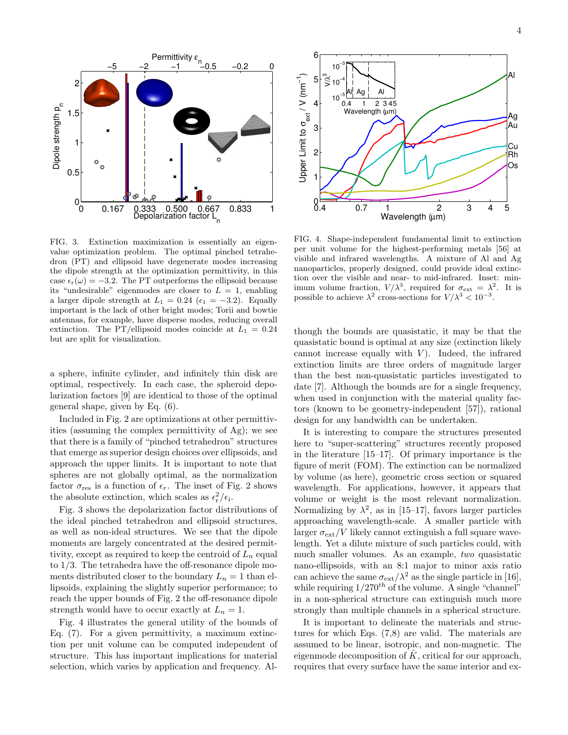

FIG. 3. Extinction maximization is essentially an eigenvalue optimization problem. The optimal pinched tetrahedron (PT) and ellipsoid have degenerate modes increasing the dipole strength at the optimization permittivity, in this case  $\epsilon_r(\omega) = -3.2$ . The PT outperforms the ellipsoid because its "undesirable" eigenmodes are closer to  $L = 1$ , enabling a larger dipole strength at  $L_1 = 0.24$  ( $\epsilon_1 = -3.2$ ). Equally important is the lack of other bright modes; Torii and bowtie antennas, for example, have disperse modes, reducing overall extinction. The PT/ellipsoid modes coincide at  $L_1 = 0.24$ but are split for visualization.

a sphere, infinite cylinder, and infinitely thin disk are optimal, respectively. In each case, the spheroid depolarization factors [9] are identical to those of the optimal general shape, given by Eq. (6).

Included in Fig. 2 are optimizations at other permittivities (assuming the complex permittivity of Ag); we see that there is a family of "pinched tetrahedron" structures that emerge as superior design choices over ellipsoids, and approach the upper limits. It is important to note that spheres are not globally optimal, as the normalization factor  $\sigma_{\text{res}}$  is a function of  $\epsilon_r$ . The inset of Fig. 2 shows the absolute extinction, which scales as  $\epsilon_{\rm r}^2/\epsilon_{\rm i}$ .

Fig. 3 shows the depolarization factor distributions of the ideal pinched tetrahedron and ellipsoid structures, as well as non-ideal structures. We see that the dipole moments are largely concentrated at the desired permittivity, except as required to keep the centroid of  $L_n$  equal to 1/3. The tetrahedra have the off-resonance dipole moments distributed closer to the boundary  $L_n = 1$  than ellipsoids, explaining the slightly superior performance; to reach the upper bounds of Fig. 2 the off-resonance dipole strength would have to occur exactly at  $L_n = 1$ .

Fig. 4 illustrates the general utility of the bounds of Eq. (7). For a given permittivity, a maximum extinction per unit volume can be computed independent of structure. This has important implications for material selection, which varies by application and frequency. Al-



FIG. 4. Shape-independent fundamental limit to extinction per unit volume for the highest-performing metals [56] at visible and infrared wavelengths. A mixture of Al and Ag nanoparticles, properly designed, could provide ideal extinction over the visible and near- to mid-infrared. Inset: minimum volume fraction,  $V/\lambda^3$ , required for  $\sigma_{\text{ext}} = \lambda^2$ . It is possible to achieve  $\lambda^2$  cross-sections for  $V/\lambda^3 < 10^{-3}$ .

though the bounds are quasistatic, it may be that the quasistatic bound is optimal at any size (extinction likely cannot increase equally with  $V$ ). Indeed, the infrared extinction limits are three orders of magnitude larger than the best non-quasistatic particles investigated to date [7]. Although the bounds are for a single frequency, when used in conjunction with the material quality factors (known to be geometry-independent [57]), rational design for any bandwidth can be undertaken.

It is interesting to compare the structures presented here to "super-scattering" structures recently proposed in the literature [15–17]. Of primary importance is the figure of merit (FOM). The extinction can be normalized by volume (as here), geometric cross section or squared wavelength. For applications, however, it appears that volume or weight is the most relevant normalization. Normalizing by  $\lambda^2$ , as in [15–17], favors larger particles approaching wavelength-scale. A smaller particle with larger  $\sigma_{\rm ext}/V$  likely cannot extinguish a full square wavelength. Yet a dilute mixture of such particles could, with much smaller volumes. As an example, two quasistatic nano-ellipsoids, with an 8:1 major to minor axis ratio can achieve the same  $\sigma_{ext}/\lambda^2$  as the single particle in [16], while requiring  $1/270^{th}$  of the volume. A single "channel" in a non-spherical structure can extinguish much more strongly than multiple channels in a spherical structure.

It is important to delineate the materials and structures for which Eqs. (7,8) are valid. The materials are assumed to be linear, isotropic, and non-magnetic. The eigenmode decomposition of  $\hat{K}$ , critical for our approach, requires that every surface have the same interior and ex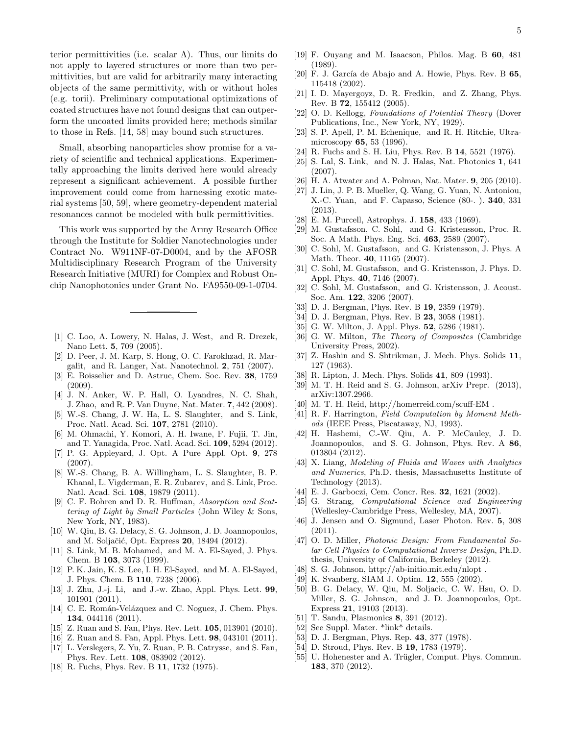terior permittivities (i.e. scalar  $\Lambda$ ). Thus, our limits do not apply to layered structures or more than two permittivities, but are valid for arbitrarily many interacting objects of the same permittivity, with or without holes (e.g. torii). Preliminary computational optimizations of coated structures have not found designs that can outperform the uncoated limits provided here; methods similar to those in Refs. [14, 58] may bound such structures.

Small, absorbing nanoparticles show promise for a variety of scientific and technical applications. Experimentally approaching the limits derived here would already represent a significant achievement. A possible further improvement could come from harnessing exotic material systems [50, 59], where geometry-dependent material resonances cannot be modeled with bulk permittivities.

This work was supported by the Army Research Office through the Institute for Soldier Nanotechnologies under Contract No. W911NF-07-D0004, and by the AFOSR Multidisciplinary Research Program of the University Research Initiative (MURI) for Complex and Robust Onchip Nanophotonics under Grant No. FA9550-09-1-0704.

- [1] C. Loo, A. Lowery, N. Halas, J. West, and R. Drezek, Nano Lett. 5, 709 (2005).
- [2] D. Peer, J. M. Karp, S. Hong, O. C. Farokhzad, R. Margalit, and R. Langer, Nat. Nanotechnol. 2, 751 (2007).
- [3] E. Boisselier and D. Astruc, Chem. Soc. Rev. 38, 1759 (2009).
- [4] J. N. Anker, W. P. Hall, O. Lyandres, N. C. Shah, J. Zhao, and R. P. Van Duyne, Nat. Mater. 7, 442 (2008).
- [5] W.-S. Chang, J. W. Ha, L. S. Slaughter, and S. Link, Proc. Natl. Acad. Sci. 107, 2781 (2010).
- [6] M. Ohmachi, Y. Komori, A. H. Iwane, F. Fujii, T. Jin, and T. Yanagida, Proc. Natl. Acad. Sci. 109, 5294 (2012).
- [7] P. G. Appleyard, J. Opt. A Pure Appl. Opt. 9, 278 (2007).
- [8] W.-S. Chang, B. A. Willingham, L. S. Slaughter, B. P. Khanal, L. Vigderman, E. R. Zubarev, and S. Link, Proc. Natl. Acad. Sci. 108, 19879 (2011).
- [9] C. F. Bohren and D. R. Huffman, Absorption and Scattering of Light by Small Particles (John Wiley & Sons, New York, NY, 1983).
- [10] W. Qiu, B. G. Delacy, S. G. Johnson, J. D. Joannopoulos, and M. Soljačić, Opt. Express 20, 18494 (2012).
- [11] S. Link, M. B. Mohamed, and M. A. El-Sayed, J. Phys. Chem. B 103, 3073 (1999).
- [12] P. K. Jain, K. S. Lee, I. H. El-Sayed, and M. A. El-Sayed, J. Phys. Chem. B 110, 7238 (2006).
- [13] J. Zhu, J.-j. Li, and J.-w. Zhao, Appl. Phys. Lett. 99, 101901 (2011).
- [14] C. E. Román-Velázquez and C. Noguez, J. Chem. Phys. 134, 044116 (2011).
- [15] Z. Ruan and S. Fan, Phys. Rev. Lett. **105**, 013901 (2010).
- [16] Z. Ruan and S. Fan, Appl. Phys. Lett. 98, 043101 (2011).
- [17] L. Verslegers, Z. Yu, Z. Ruan, P. B. Catrysse, and S. Fan, Phys. Rev. Lett. 108, 083902 (2012).
- [18] R. Fuchs, Phys. Rev. B 11, 1732 (1975).
- [19] F. Ouyang and M. Isaacson, Philos. Mag. B 60, 481 (1989).
- [20] F. J. García de Abajo and A. Howie, Phys. Rev. B 65, 115418 (2002).
- [21] I. D. Mayergoyz, D. R. Fredkin, and Z. Zhang, Phys. Rev. B 72, 155412 (2005).
- [22] O. D. Kellogg, Foundations of Potential Theory (Dover Publications, Inc., New York, NY, 1929).
- [23] S. P. Apell, P. M. Echenique, and R. H. Ritchie, Ultramicroscopy 65, 53 (1996).
- [24] R. Fuchs and S. H. Liu, Phys. Rev. B 14, 5521 (1976).
- [25] S. Lal, S. Link, and N. J. Halas, Nat. Photonics 1, 641 (2007).
- [26] H. A. Atwater and A. Polman, Nat. Mater. 9, 205 (2010).
- [27] J. Lin, J. P. B. Mueller, Q. Wang, G. Yuan, N. Antoniou, X.-C. Yuan, and F. Capasso, Science (80-. ). 340, 331 (2013).
- [28] E. M. Purcell, Astrophys. J. 158, 433 (1969).
- [29] M. Gustafsson, C. Sohl, and G. Kristensson, Proc. R. Soc. A Math. Phys. Eng. Sci. 463, 2589 (2007).
- [30] C. Sohl, M. Gustafsson, and G. Kristensson, J. Phys. A Math. Theor. 40, 11165 (2007).
- [31] C. Sohl, M. Gustafsson, and G. Kristensson, J. Phys. D. Appl. Phys. 40, 7146 (2007).
- [32] C. Sohl, M. Gustafsson, and G. Kristensson, J. Acoust. Soc. Am. 122, 3206 (2007).
- [33] D. J. Bergman, Phys. Rev. B 19, 2359 (1979).
- [34] D. J. Bergman, Phys. Rev. B **23**, 3058 (1981).
- [35] G. W. Milton, J. Appl. Phys. **52**, 5286 (1981).
- [36] G. W. Milton, The Theory of Composites (Cambridge University Press, 2002).
- [37] Z. Hashin and S. Shtrikman, J. Mech. Phys. Solids 11, 127 (1963).
- [38] R. Lipton, J. Mech. Phys. Solids 41, 809 (1993).
- [39] M. T. H. Reid and S. G. Johnson, arXiv Prepr. (2013), arXiv:1307.2966.
- [40] M. T. H. Reid, http://homerreid.com/scuff-EM .
- [41] R. F. Harrington, Field Computation by Moment Methods (IEEE Press, Piscataway, NJ, 1993).
- [42] H. Hashemi, C.-W. Qiu, A. P. McCauley, J. D. Joannopoulos, and S. G. Johnson, Phys. Rev. A 86, 013804 (2012).
- [43] X. Liang, Modeling of Fluids and Waves with Analytics and Numerics, Ph.D. thesis, Massachusetts Institute of Technology (2013).
- [44] E. J. Garboczi, Cem. Concr. Res. **32**, 1621 (2002).
- [45] G. Strang, Computational Science and Engineering (Wellesley-Cambridge Press, Wellesley, MA, 2007).
- [46] J. Jensen and O. Sigmund, Laser Photon. Rev. 5, 308 (2011).
- [47] O. D. Miller, Photonic Design: From Fundamental Solar Cell Physics to Computational Inverse Design, Ph.D. thesis, University of California, Berkeley (2012).
- [48] S. G. Johnson, http://ab-initio.mit.edu/nlopt .
- [49] K. Svanberg, SIAM J. Optim. 12, 555 (2002).
- [50] B. G. Delacy, W. Qiu, M. Soljacic, C. W. Hsu, O. D. Miller, S. G. Johnson, and J. D. Joannopoulos, Opt. Express 21, 19103 (2013).
- [51] T. Sandu, Plasmonics 8, 391 (2012).
- [52] See Suppl. Mater. \*link\* details.
- [53] D. J. Bergman, Phys. Rep. 43, 377 (1978).
- [54] D. Stroud, Phys. Rev. B 19, 1783 (1979).
- [55] U. Hohenester and A. Trügler, Comput. Phys. Commun. 183, 370 (2012).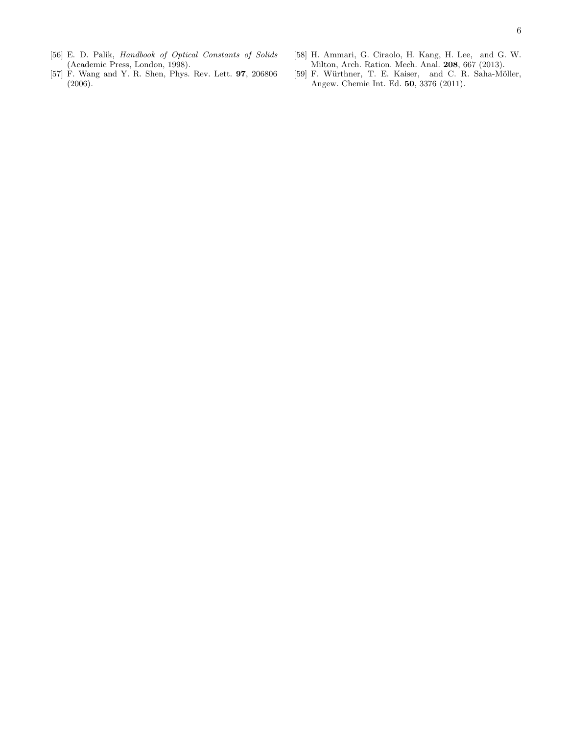- [56] E. D. Palik, Handbook of Optical Constants of Solids (Academic Press, London, 1998).
- [57] F. Wang and Y. R. Shen, Phys. Rev. Lett. 97, 206806 (2006).
- [58] H. Ammari, G. Ciraolo, H. Kang, H. Lee, and G. W. Milton, Arch. Ration. Mech. Anal. 208, 667 (2013).
- [59] F. Würthner, T. E. Kaiser, and C. R. Saha-Möller, Angew. Chemie Int. Ed. 50, 3376 (2011).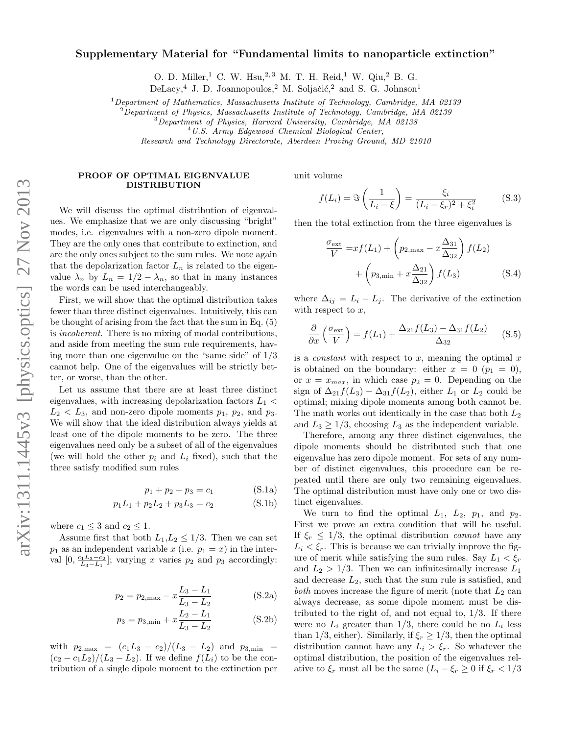## Supplementary Material for "Fundamental limits to nanoparticle extinction"

O. D. Miller,<sup>1</sup> C. W. Hsu,<sup>2,3</sup> M. T. H. Reid,<sup>1</sup> W. Qiu,<sup>2</sup> B. G.

DeLacy,<sup>4</sup> J. D. Joannopoulos,<sup>2</sup> M. Soljačić,<sup>2</sup> and S. G. Johnson<sup>1</sup>

<sup>1</sup>Department of Mathematics, Massachusetts Institute of Technology, Cambridge, MA 02139

<sup>2</sup>Department of Physics, Massachusetts Institute of Technology, Cambridge, MA 02139

<sup>3</sup>Department of Physics, Harvard University, Cambridge, MA 02138

<sup>4</sup>U.S. Army Edgewood Chemical Biological Center,

Research and Technology Directorate, Aberdeen Proving Ground, MD 21010

## PROOF OF OPTIMAL EIGENVALUE DISTRIBUTION

We will discuss the optimal distribution of eigenvalues. We emphasize that we are only discussing "bright" modes, i.e. eigenvalues with a non-zero dipole moment. They are the only ones that contribute to extinction, and are the only ones subject to the sum rules. We note again that the depolarization factor  $L_n$  is related to the eigenvalue  $\lambda_n$  by  $L_n = 1/2 - \lambda_n$ , so that in many instances the words can be used interchangeably.

First, we will show that the optimal distribution takes fewer than three distinct eigenvalues. Intuitively, this can be thought of arising from the fact that the sum in Eq. (5) is incoherent. There is no mixing of modal contributions, and aside from meeting the sum rule requirements, having more than one eigenvalue on the "same side" of 1/3 cannot help. One of the eigenvalues will be strictly better, or worse, than the other.

Let us assume that there are at least three distinct eigenvalues, with increasing depolarization factors  $L_1$  <  $L_2 < L_3$ , and non-zero dipole moments  $p_1$ ,  $p_2$ , and  $p_3$ . We will show that the ideal distribution always yields at least one of the dipole moments to be zero. The three eigenvalues need only be a subset of all of the eigenvalues (we will hold the other  $p_i$  and  $L_i$  fixed), such that the three satisfy modified sum rules

$$
p_1 + p_2 + p_3 = c_1 \tag{S.1a}
$$

$$
p_1L_1 + p_2L_2 + p_3L_3 = c_2 \tag{S.1b}
$$

where  $c_1 \leq 3$  and  $c_2 \leq 1$ .

Assume first that both  $L_1, L_2 \leq 1/3$ . Then we can set  $p_1$  as an independent variable x (i.e.  $p_1 = x$ ) in the interval  $[0, \frac{c_1 L_3 - c_2}{L_3 - L_1}]$ ; varying x varies  $p_2$  and  $p_3$  accordingly:

$$
p_2 = p_{2,\text{max}} - x \frac{L_3 - L_1}{L_3 - L_2}
$$
 (S.2a)

$$
p_3 = p_{3,\min} + x \frac{L_2 - L_1}{L_3 - L_2}
$$
 (S.2b)

with  $p_{2,\text{max}} = (c_1L_3 - c_2)/(L_3 - L_2)$  and  $p_{3,\text{min}} =$  $(c_2 - c_1L_2)/(L_3 - L_2)$ . If we define  $f(L_i)$  to be the contribution of a single dipole moment to the extinction per unit volume

$$
f(L_i) = \Im\left(\frac{1}{L_i - \xi}\right) = \frac{\xi_i}{(L_i - \xi_r)^2 + \xi_i^2}
$$
 (S.3)

then the total extinction from the three eigenvalues is

$$
\frac{\sigma_{\text{ext}}}{V} = xf(L_1) + \left(p_{2,\text{max}} - x\frac{\Delta_{31}}{\Delta_{32}}\right) f(L_2)
$$

$$
+ \left(p_{3,\text{min}} + x\frac{\Delta_{21}}{\Delta_{32}}\right) f(L_3) \tag{S.4}
$$

where  $\Delta_{ij} = L_i - L_j$ . The derivative of the extinction with respect to  $x$ ,

$$
\frac{\partial}{\partial x}\left(\frac{\sigma_{\text{ext}}}{V}\right) = f(L_1) + \frac{\Delta_{21}f(L_3) - \Delta_{31}f(L_2)}{\Delta_{32}} \quad (S.5)
$$

is a *constant* with respect to x, meaning the optimal  $x$ is obtained on the boundary: either  $x = 0$  ( $p_1 = 0$ ), or  $x = x_{max}$ , in which case  $p_2 = 0$ . Depending on the sign of  $\Delta_{21}f(L_3) - \Delta_{31}f(L_2)$ , either  $L_1$  or  $L_2$  could be optimal; mixing dipole moments among both cannot be. The math works out identically in the case that both  $L_2$ and  $L_3 \geq 1/3$ , choosing  $L_3$  as the independent variable.

Therefore, among any three distinct eigenvalues, the dipole moments should be distributed such that one eigenvalue has zero dipole moment. For sets of any number of distinct eigenvalues, this procedure can be repeated until there are only two remaining eigenvalues. The optimal distribution must have only one or two distinct eigenvalues.

We turn to find the optimal  $L_1$ ,  $L_2$ ,  $p_1$ , and  $p_2$ . First we prove an extra condition that will be useful. If  $\xi_r \leq 1/3$ , the optimal distribution cannot have any  $L_i < \xi_r$ . This is because we can trivially improve the figure of merit while satisfying the sum rules. Say  $L_1 < \xi_r$ and  $L_2 > 1/3$ . Then we can infinitesimally increase  $L_1$ and decrease  $L_2$ , such that the sum rule is satisfied, and both moves increase the figure of merit (note that  $L_2$  can always decrease, as some dipole moment must be distributed to the right of, and not equal to,  $1/3$ . If there were no  $L_i$  greater than 1/3, there could be no  $L_i$  less than 1/3, either). Similarly, if  $\xi_r \geq 1/3$ , then the optimal distribution cannot have any  $L_i > \xi_r$ . So whatever the optimal distribution, the position of the eigenvalues relative to  $\xi_r$  must all be the same  $(L_i - \xi_r \geq 0 \text{ if } \xi_r < 1/3$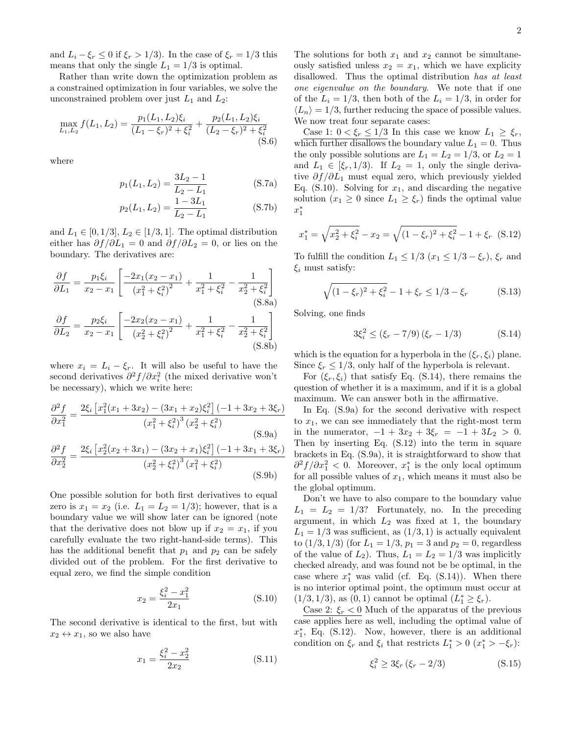and  $L_i - \xi_r \leq 0$  if  $\xi_r > 1/3$ . In the case of  $\xi_r = 1/3$  this means that only the single  $L_1 = 1/3$  is optimal.

Rather than write down the optimization problem as a constrained optimization in four variables, we solve the unconstrained problem over just  $L_1$  and  $L_2$ :

$$
\max_{L_1, L_2} f(L_1, L_2) = \frac{p_1(L_1, L_2)\xi_i}{(L_1 - \xi_r)^2 + \xi_i^2} + \frac{p_2(L_1, L_2)\xi_i}{(L_2 - \xi_r)^2 + \xi_i^2}
$$
\n(S.6)

where

$$
p_1(L_1, L_2) = \frac{3L_2 - 1}{L_2 - L_1}
$$
 (S.7a)

$$
p_2(L_1, L_2) = \frac{1 - 3L_1}{L_2 - L_1}
$$
 (S.7b)

and  $L_1 \in [0, 1/3], L_2 \in [1/3, 1]$ . The optimal distribution either has  $\partial f / \partial L_1 = 0$  and  $\partial f / \partial L_2 = 0$ , or lies on the boundary. The derivatives are:

$$
\frac{\partial f}{\partial L_1} = \frac{p_1 \xi_i}{x_2 - x_1} \left[ \frac{-2x_1(x_2 - x_1)}{(x_1^2 + \xi_i^2)^2} + \frac{1}{x_1^2 + \xi_i^2} - \frac{1}{x_2^2 + \xi_i^2} \right]
$$
\n
$$
\frac{\partial f}{\partial L_2} = \frac{p_2 \xi_i}{x_2 - x_1} \left[ \frac{-2x_2(x_2 - x_1)}{(x_2^2 + \xi_i^2)^2} + \frac{1}{x_1^2 + \xi_i^2} - \frac{1}{x_2^2 + \xi_i^2} \right]
$$
\n(S.8b)

where  $x_i = L_i - \xi_r$ . It will also be useful to have the second derivatives  $\partial^2 f / \partial x_i^2$  (the mixed derivative won't be necessary), which we write here:

$$
\frac{\partial^2 f}{\partial x_1^2} = \frac{2\xi_i \left[ x_1^2 (x_1 + 3x_2) - (3x_1 + x_2)\xi_i^2 \right] (-1 + 3x_2 + 3\xi_r)}{(x_1^2 + \xi_i^2)^3 (x_2^2 + \xi_i^2)}
$$
(S.9a)

$$
\frac{\partial^2 f}{\partial x_2^2} = \frac{2\xi_i \left[ x_2^2 (x_2 + 3x_1) - (3x_2 + x_1)\xi_i^2 \right] (-1 + 3x_1 + 3\xi_r)}{(x_2^2 + \xi_i^2)^3 (x_1^2 + \xi_i^2)}
$$
(S.9b)

One possible solution for both first derivatives to equal zero is  $x_1 = x_2$  (i.e.  $L_1 = L_2 = 1/3$ ); however, that is a boundary value we will show later can be ignored (note that the derivative does not blow up if  $x_2 = x_1$ , if you carefully evaluate the two right-hand-side terms). This has the additional benefit that  $p_1$  and  $p_2$  can be safely divided out of the problem. For the first derivative to equal zero, we find the simple condition

$$
x_2 = \frac{\xi_i^2 - x_1^2}{2x_1} \tag{S.10}
$$

The second derivative is identical to the first, but with  $x_2 \leftrightarrow x_1$ , so we also have

$$
x_1 = \frac{\xi_i^2 - x_2^2}{2x_2} \tag{S.11}
$$

The solutions for both  $x_1$  and  $x_2$  cannot be simultaneously satisfied unless  $x_2 = x_1$ , which we have explicity disallowed. Thus the optimal distribution has at least one eigenvalue on the boundary. We note that if one of the  $L_i = 1/3$ , then both of the  $L_i = 1/3$ , in order for  $\langle L_n \rangle = 1/3$ , further reducing the space of possible values. We now treat four separate cases:

Case 1:  $0 < \xi_r \leq 1/3$  In this case we know  $L_1 \geq \xi_r$ , which further disallows the boundary value  $L_1 = 0$ . Thus the only possible solutions are  $L_1 = L_2 = 1/3$ , or  $L_2 = 1$ and  $L_1 \in [\xi_r, 1/3]$ . If  $L_2 = 1$ , only the single derivative  $\partial f / \partial L_1$  must equal zero, which previously yielded Eq. (S.10). Solving for  $x_1$ , and discarding the negative solution  $(x_1 \geq 0$  since  $L_1 \geq \xi_r$ ) finds the optimal value  $x_1^*$ 

$$
x_1^* = \sqrt{x_2^2 + \xi_i^2} - x_2 = \sqrt{(1 - \xi_r)^2 + \xi_i^2} - 1 + \xi_r
$$
 (S.12)

To fulfill the condition  $L_1 \leq 1/3$   $(x_1 \leq 1/3 - \xi_r)$ ,  $\xi_r$  and  $\xi_i$  must satisfy:

$$
\sqrt{(1 - \xi_r)^2 + \xi_i^2} - 1 + \xi_r \le 1/3 - \xi_r \tag{S.13}
$$

Solving, one finds

$$
3\xi_i^2 \le (\xi_r - 7/9)(\xi_r - 1/3) \tag{S.14}
$$

which is the equation for a hyperbola in the  $(\xi_r, \xi_i)$  plane. Since  $\xi_r \leq 1/3$ , only half of the hyperbola is relevant.

For  $(\xi_r, \xi_i)$  that satisfy Eq. (S.14), there remains the question of whether it is a maximum, and if it is a global maximum. We can answer both in the affirmative.

In Eq. (S.9a) for the second derivative with respect to  $x_1$ , we can see immediately that the right-most term in the numerator,  $-1 + 3x_2 + 3\xi_r = -1 + 3L_2 > 0$ . Then by inserting Eq. (S.12) into the term in square brackets in Eq. (S.9a), it is straightforward to show that  $\frac{\partial^2 f}{\partial x_1^2}$  < 0. Moreover,  $x_1^*$  is the only local optimum for all possible values of  $x_1$ , which means it must also be the global optimum.

Don't we have to also compare to the boundary value  $L_1 = L_2 = 1/3$ ? Fortunately, no. In the preceding argument, in which  $L_2$  was fixed at 1, the boundary  $L_1 = 1/3$  was sufficient, as  $(1/3, 1)$  is actually equivalent to  $(1/3, 1/3)$  (for  $L_1 = 1/3$ ,  $p_1 = 3$  and  $p_2 = 0$ , regardless of the value of  $L_2$ ). Thus,  $L_1 = L_2 = 1/3$  was implicitly checked already, and was found not be be optimal, in the case where  $x_1^*$  was valid (cf. Eq.  $(S.14)$ ). When there is no interior optimal point, the optimum must occur at  $(1/3, 1/3)$ , as  $(0, 1)$  cannot be optimal  $(L_1^* \geq \xi_r)$ .

Case 2:  $\xi_r < 0$  Much of the apparatus of the previous case applies here as well, including the optimal value of  $x_1^*$ , Eq. (S.12). Now, however, there is an additional condition on  $\xi_r$  and  $\xi_i$  that restricts  $L_1^* > 0$   $(x_1^* > -\xi_r)$ :

$$
\xi_i^2 \ge 3\xi_r (\xi_r - 2/3) \tag{S.15}
$$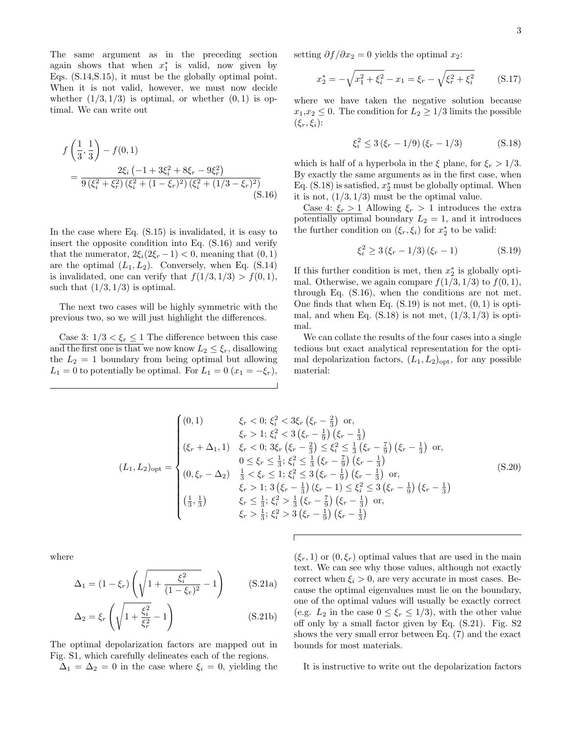The same argument as in the preceding section again shows that when  $x_1^*$  is valid, now given by Eqs. (S.14,S.15), it must be the globally optimal point. When it is not valid, however, we must now decide whether  $(1/3, 1/3)$  is optimal, or whether  $(0, 1)$  is optimal. We can write out

$$
f\left(\frac{1}{3},\frac{1}{3}\right) - f(0,1)
$$
  
= 
$$
\frac{2\xi_i \left(-1 + 3\xi_i^2 + 8\xi_r - 9\xi_r^2\right)}{9\left(\xi_i^2 + \xi_r^2\right)\left(\xi_i^2 + (1 - \xi_r)^2\right)\left(\xi_i^2 + (1/3 - \xi_r)^2\right)}
$$
(S.16)

In the case where Eq. (S.15) is invalidated, it is easy to insert the opposite condition into Eq. (S.16) and verify that the numerator,  $2\xi_i(2\xi_r - 1) < 0$ , meaning that  $(0, 1)$ are the optimal  $(L_1, L_2)$ . Conversely, when Eq. (S.14) is invalidated, one can verify that  $f(1/3, 1/3) > f(0, 1)$ , such that  $(1/3, 1/3)$  is optimal.

The next two cases will be highly symmetric with the previous two, so we will just highlight the differences.

Case 3:  $1/3 < \xi_r \leq 1$  The difference between this case and the first one is that we now know  $L_2 \leq \xi_r$ , disallowing the  $L_2 = 1$  boundary from being optimal but allowing  $L_1 = 0$  to potentially be optimal. For  $L_1 = 0$   $(x_1 = -\xi_r)$ ,

setting  $\partial f / \partial x_2 = 0$  yields the optimal  $x_2$ :

$$
x_2^* = -\sqrt{x_1^2 + \xi_i^2} - x_1 = \xi_r - \sqrt{\xi_r^2 + \xi_i^2}
$$
 (S.17)

where we have taken the negative solution because  $x_1,x_2 \leq 0$ . The condition for  $L_2 \geq 1/3$  limits the possible  $(\xi_r, \xi_i)$ :

$$
\xi_i^2 \le 3\left(\xi_r - 1/9\right)\left(\xi_r - 1/3\right) \tag{S.18}
$$

which is half of a hyperbola in the  $\xi$  plane, for  $\xi_r > 1/3$ . By exactly the same arguments as in the first case, when Eq.  $(S.18)$  is satisfied,  $x_2^*$  must be globally optimal. When it is not,  $(1/3, 1/3)$  must be the optimal value.

Case 4:  $\xi_r > 1$  Allowing  $\xi_r > 1$  introduces the extra potentially optimal boundary  $L_2 = 1$ , and it introduces the further condition on  $(\xi_r, \xi_i)$  for  $x_2^*$  to be valid:

$$
\xi_i^2 \ge 3\left(\xi_r - 1/3\right)\left(\xi_r - 1\right) \tag{S.19}
$$

If this further condition is met, then  $x_2^*$  is globally optimal. Otherwise, we again compare  $f(1/3, 1/3)$  to  $f(0, 1)$ , through Eq. (S.16), when the conditions are not met. One finds that when Eq.  $(S.19)$  is not met,  $(0, 1)$  is optimal, and when Eq.  $(S.18)$  is not met,  $(1/3, 1/3)$  is optimal.

We can collate the results of the four cases into a single tedious but exact analytical representation for the optimal depolarization factors,  $(L_1, L_2)_{\text{opt}}$ , for any possible material:

$$
(L_1, L_2)_{\text{opt}} = \begin{cases} (0, 1) & \xi_r < 0; \xi_i^2 < 3\xi_r \left(\xi_r - \frac{2}{3}\right) \text{ or,} \\ & \xi_r > 1; \xi_i^2 < 3 \left(\xi_r - \frac{1}{9}\right) \left(\xi_r - \frac{1}{3}\right) \\ (\xi_r + \Delta_1, 1) & \xi_r < 0; 3\xi_r \left(\xi_r - \frac{2}{3}\right) \leq \xi_i^2 \leq \frac{1}{3} \left(\xi_r - \frac{7}{9}\right) \left(\xi_r - \frac{1}{3}\right) \text{ or,} \\ & 0 \leq \xi_r \leq \frac{1}{3}; \xi_i^2 \leq \frac{1}{3} \left(\xi_r - \frac{7}{9}\right) \left(\xi_r - \frac{1}{3}\right) \text{ or,} \\ (0, \xi_r - \Delta_2) & \frac{1}{3} < \xi_r \leq 1; \xi_i^2 \leq 3 \left(\xi_r - \frac{1}{9}\right) \left(\xi_r - \frac{1}{3}\right) \text{ or,} \\ & \xi_r > 1; 3 \left(\xi_r - \frac{1}{3}\right) \left(\xi_r - 1\right) \leq \xi_i^2 \leq 3 \left(\xi_r - \frac{1}{9}\right) \left(\xi_r - \frac{1}{3}\right) \\ & \xi_r \leq \frac{1}{3}; \xi_i^2 > \frac{1}{3} \left(\xi_r - \frac{7}{9}\right) \left(\xi_r - \frac{1}{3}\right) \text{ or,} \\ & \xi_r > \frac{1}{3}; \xi_i^2 > 3 \left(\xi_r - \frac{1}{9}\right) \left(\xi_r - \frac{1}{3}\right) \end{cases} \tag{S.20}
$$

where

$$
\Delta_1 = (1 - \xi_r) \left( \sqrt{1 + \frac{\xi_i^2}{(1 - \xi_r)^2}} - 1 \right) \quad (S.21a)
$$

$$
\Delta_2 = \xi_r \left( \sqrt{1 + \frac{\xi_i^2}{\xi_r^2}} - 1 \right) \tag{S.21b}
$$

The optimal depolarization factors are mapped out in Fig. S1, which carefully delineates each of the regions.  $\Delta_1 = \Delta_2 = 0$  in the case where  $\xi_i = 0$ , yielding the

 $(\xi_r, 1)$  or  $(0, \xi_r)$  optimal values that are used in the main text. We can see why those values, although not exactly correct when  $\xi_i > 0$ , are very accurate in most cases. Because the optimal eigenvalues must lie on the boundary, one of the optimal values will usually be exactly correct (e.g.  $L_2$  in the case  $0 \leq \xi_r \leq 1/3$ ), with the other value off only by a small factor given by Eq. (S.21). Fig. S2 shows the very small error between Eq. (7) and the exact bounds for most materials.

It is instructive to write out the depolarization factors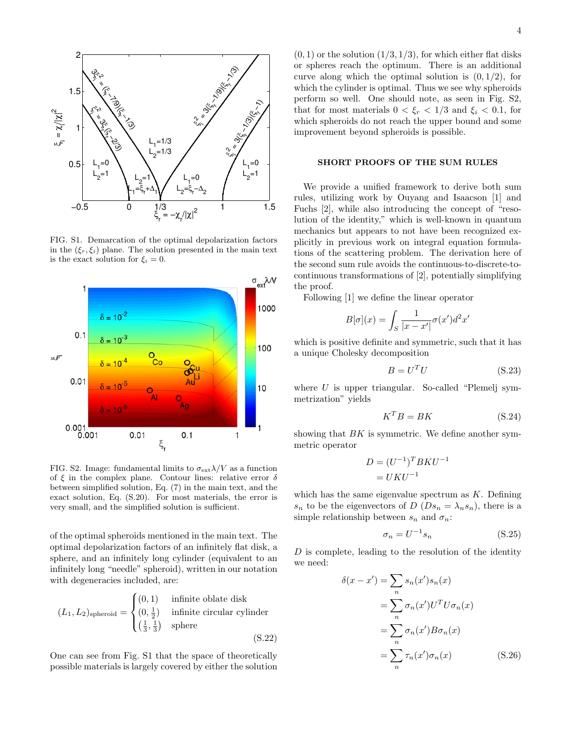

FIG. S1. Demarcation of the optimal depolarization factors in the  $(\xi_r, \xi_i)$  plane. The solution presented in the main text is the exact solution for  $\xi_i = 0$ .



FIG. S2. Image: fundamental limits to  $\sigma_{\text{ext}}\lambda/V$  as a function of  $\xi$  in the complex plane. Contour lines: relative error  $\delta$ between simplified solution, Eq. (7) in the main text, and the exact solution, Eq. (S.20). For most materials, the error is very small, and the simplified solution is sufficient.

of the optimal spheroids mentioned in the main text. The optimal depolarization factors of an infinitely flat disk, a sphere, and an infinitely long cylinder (equivalent to an infinitely long "needle" spheroid), written in our notation with degeneracies included, are:

$$
(L_1, L_2)_{\text{spheroid}} = \begin{cases} (0, 1) & \text{infinite oblate disk} \\ (0, \frac{1}{2}) & \text{infinite circular cylinder} \\ (\frac{1}{3}, \frac{1}{3}) & \text{sphere} \end{cases}
$$
 (S.22)

One can see from Fig. S1 that the space of theoretically possible materials is largely covered by either the solution

 $(0, 1)$  or the solution  $(1/3, 1/3)$ , for which either flat disks or spheres reach the optimum. There is an additional curve along which the optimal solution is  $(0, 1/2)$ , for which the cylinder is optimal. Thus we see why spheroids perform so well. One should note, as seen in Fig. S2, that for most materials  $0 < \xi_r < 1/3$  and  $\xi_i < 0.1$ , for which spheroids do not reach the upper bound and some improvement beyond spheroids is possible.

## SHORT PROOFS OF THE SUM RULES

We provide a unified framework to derive both sum rules, utilizing work by Ouyang and Isaacson [1] and Fuchs [2], while also introducing the concept of "resolution of the identity," which is well-known in quantum mechanics but appears to not have been recognized explicitly in previous work on integral equation formulations of the scattering problem. The derivation here of the second sum rule avoids the continuous-to-discrete-tocontinuous transformations of [2], potentially simplifying the proof.

Following [1] we define the linear operator

$$
B[\sigma](x) = \int_S \frac{1}{|x - x'|} \sigma(x')d^2x'
$$

which is positive definite and symmetric, such that it has a unique Cholesky decomposition

$$
B = U^T U \tag{S.23}
$$

where  $U$  is upper triangular. So-called "Plemelj symmetrization" yields

$$
K^T B = B K \tag{S.24}
$$

showing that  $BK$  is symmetric. We define another symmetric operator

$$
D = (U^{-1})^T B K U^{-1}
$$

$$
= UKU^{-1}
$$

which has the same eigenvalue spectrum as  $K$ . Defining  $s_n$  to be the eigenvectors of  $D(Ds_n = \lambda_n s_n)$ , there is a simple relationship between  $s_n$  and  $\sigma_n$ :

$$
\sigma_n = U^{-1} s_n \tag{S.25}
$$

 $D$  is complete, leading to the resolution of the identity we need:

$$
\delta(x - x') = \sum_{n} s_n(x')s_n(x)
$$

$$
= \sum_{n} \sigma_n(x')U^T U \sigma_n(x)
$$

$$
= \sum_{n} \sigma_n(x')B \sigma_n(x)
$$

$$
= \sum_{n} \tau_n(x') \sigma_n(x) \qquad (S.26)
$$